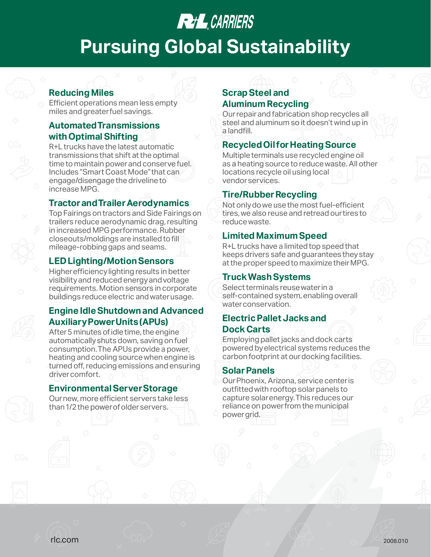## **REAL** CARRIERS

# **Pursuing Global Sustainability**

## **Reducing Miles**

Efficient operations mean less empty miles and greater fuel savings.

## **Automated Transmissions with Optimal Shifting**

R+L trucks have the latest automatic transmissions that shift at the optimal time to maintain power and conserve fuel. Includes "Smart Coast Mode" that can engage/disengage the driveline to increase MPG.

## **Tractor and Trailer Aerodynamics**

Top Fairings on tractors and Side Fairings on trailers reduce aerodynamic drag, resulting in increased MPG performance. Rubber closeouts/moldings are installed to fill mileage-robbing gaps and seams.

## **LED Lighting/Motion Sensors**

Higher efficiency lighting results in better visibility and reduced energy and voltage requirements. Motion sensors in corporate buildings reduce electric and water usage.

## **Engine Idle Shutdown and Advanced Auxiliary Power Units (APUs)**

After 5 minutes of idle time, the engine automatically shuts down, saving on fuel consumption. The APUs provide a power, heating and cooling source when engine is turned off, reducing emissions and ensuring driver comfort.

### **Environmental Server Storage**

Our new, more efficient servers take less than 1/2 the power of older servers.

## **Scrap Steel and Aluminum Recycling**

Our repair and fabrication shop recycles all steel and aluminum so it doesn't wind up in a landfill.

## **Recycled Oil for Heating Source**

Multiple terminals use recycled engine oil as a heating source to reduce waste. All other locations recycle oil using local vendor services.

## **Tire/Rubber Recycling**

Not only do we use the most fuel-efficient tires, we also reuse and retread our tires to reduce waste.

## **Limited Maximum Speed**

R+L trucks have a limited top speed that keeps drivers safe and guarantees they stay at the proper speed to maximize their MPG.

### **Truck Wash Systems**

Select terminals reuse water in a self-contained system, enabling overall water conservation.

## **Electric Pallet Jacks and Dock Carts**

Employing pallet jacks and dock carts powered by electrical systems reduces the carbon footprint at our docking facilities.

## **Solar Panels**

Our Phoenix, Arizona, service center is outfitted with rooftop solar panels to capture solar energy. This reduces our reliance on power from the municipal power grid.